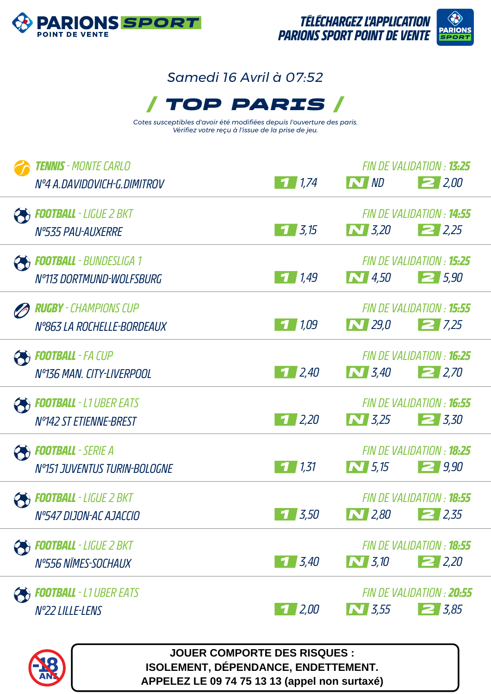

## *Samedi 16 Avril à 07:52*



*Cotes susceptibles d'avoir été modifiées depuis l'ouverture des paris. Vérifiez votre reçu à l'issue de la prise de jeu.*

| <b>TENNIS</b> - MONTE CARLO<br>Nº4 A.DAVIDOVICH-G.DIMITROV      | 11,74       | N ND         | FIN DE VALIDATION : <b>13:25</b><br>2,00        |
|-----------------------------------------------------------------|-------------|--------------|-------------------------------------------------|
| <b>PE FOOTBALL</b> - LIGUE 2 BKT<br>N°535 PAU-AUXERRE           | $1 \, 3.15$ | $\bf N$ 3,20 | FIN DE VALIDATION : <b>14:55</b><br>2.25        |
| <b>PEDITBALL</b> - BUNDESLIGA 1<br>N°113 DORTMUND-WOLFSBURG     | 11,49       | $\sim$ 4,50  | FIN DE VALIDATION : <b>15:25</b><br>25,90       |
| <b>RUGBY</b> - CHAMPIONS CUP<br>Nº863 LA ROCHELLE-BORDEAUX      | 1/109       | $\bf N$ 29,0 | FIN DE VALIDATION : <b>15:55</b><br>27.25       |
| <b>PE FOOTBALL</b> - FA CUP<br>Nº136 MAN, CITY-LIVERPOOL        | 1/2,40      | $\sum$ 3,40  | FIN DE VALIDATION : <b>16:25</b><br>2,70        |
| <b>POOTBALL</b> - L1 UBER EATS<br><b>Nº142 ST ETIENNE-BREST</b> | $1 \, 2.20$ | $\bf N$ 3,25 | FIN DE VALIDATION : <b>16:55</b><br>$\geq 3.30$ |
| <b>PE FOOTBALL</b> - SERIE A<br>N°151 JUVENTUS TURIN-BOLOGNE    | 1/1,31      | $\sum$ 5,15  | FIN DE VALIDATION : <b>18:25</b><br>29.90       |
| <b>FOOTBALL</b> - LIGUE 2 BKT<br>Nº547 DIJON-AC AJACCIO         | 3,50        | $\sim$ 2,80  | FIN DE VALIDATION : <b>18:55</b><br>$\geq$ 2,35 |
| <b>FOOTBALL</b> - LIGUE 2 BKT<br>N°556 NÎMES-SOCHAUX            | $1 \, 3.40$ | $\sim$ 3,10  | FIN DE VALIDATION : <b>18:55</b><br>22.20       |
| <b>FOOTBALL</b> - L1 UBER EATS<br>Nº22 LILLE-LENS               | $1 \, 2,00$ | $\sim$ 3,55  | FIN DE VALIDATION : 20:55<br>$2\frac{1}{5,85}$  |



**JOUER COMPORTE DES RISQUES : ISOLEMENT, DÉPENDANCE, ENDETTEMENT. APPELEZ LE 09 74 75 13 13 (appel non surtaxé)**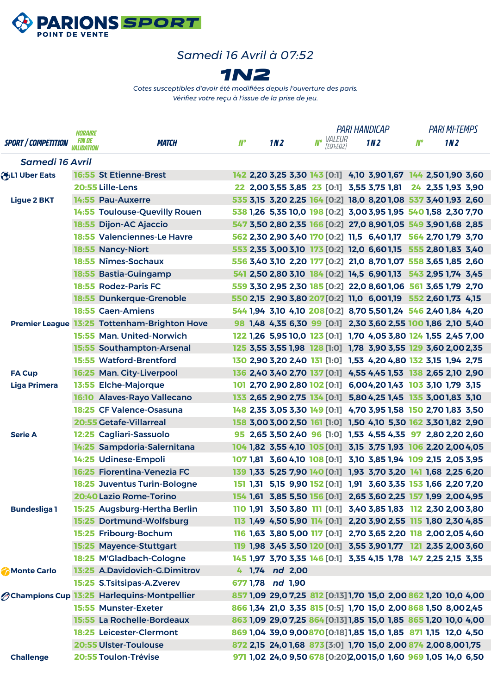

## *Samedi 16 Avril à 07:52*



*Cotes susceptibles d'avoir été modifiées depuis l'ouverture des paris. Vérifiez votre reçu à l'issue de la prise de jeu.*

|                            | <b>HORAIRE</b>                     |                                                    |                                                                 |                 |                                                                |  | <b>PARI HANDICAP</b>   |  |     | <b>PARI MI-TEMPS</b> |       |  |     |  |
|----------------------------|------------------------------------|----------------------------------------------------|-----------------------------------------------------------------|-----------------|----------------------------------------------------------------|--|------------------------|--|-----|----------------------|-------|--|-----|--|
| <b>SPORT / COMPÉTITION</b> | <i>FIN DE</i><br><i>VALIDATION</i> | <b>MATCH</b>                                       | <b>N°</b>                                                       | 1N <sub>2</sub> |                                                                |  | No VALEUR<br>FEQ1:EQ21 |  | 1M2 |                      | $M^o$ |  | 1M2 |  |
| <b>Samedi 16 Avril</b>     |                                    |                                                    |                                                                 |                 |                                                                |  |                        |  |     |                      |       |  |     |  |
| <b>OBLI Uber Eats</b>      |                                    | <b>16:55 St Etienne-Brest</b>                      |                                                                 |                 | 142 2,20 3,25 3,30 143 [0:1] 4,10 3,90 1,67 144 2,50 1,90 3,60 |  |                        |  |     |                      |       |  |     |  |
|                            |                                    | 20:55 Lille-Lens                                   |                                                                 |                 | 22 2,003,55 3,85 23 [0:1] 3,55 3,75 1,81 24 2,35 1,93 3,90     |  |                        |  |     |                      |       |  |     |  |
| <b>Ligue 2 BKT</b>         |                                    | 14:55 Pau-Auxerre                                  | 535 3,15 3,20 2,25 164 [0:2] 18,0 8,20 1,08 537 3,40 1,93 2,60  |                 |                                                                |  |                        |  |     |                      |       |  |     |  |
|                            |                                    | 14:55 Toulouse-Quevilly Rouen                      | 538 1,26 5,35 10,0 198 [0:2] 3,00 3,95 1,95 540 1,58 2,30 7,70  |                 |                                                                |  |                        |  |     |                      |       |  |     |  |
|                            |                                    | 18:55 Dijon-AC Ajaccio                             | 547 3,50 2,80 2,35 166 [0:2] 27,0 8,90 1,05 549 3,90 1,68 2,85  |                 |                                                                |  |                        |  |     |                      |       |  |     |  |
|                            |                                    | 18:55 Valenciennes-Le Havre                        | 562 2,30 2,90 3,40 170 [0:2] 11,5 6,40 1,17 564 2,70 1,79 3,70  |                 |                                                                |  |                        |  |     |                      |       |  |     |  |
|                            |                                    | <b>18:55 Nancy-Niort</b>                           | 553 2,35 3,00 3,10 173 [0:2] 12,0 6,60 1,15 555 2,80 1,83 3,40  |                 |                                                                |  |                        |  |     |                      |       |  |     |  |
|                            |                                    | 18:55 Nîmes-Sochaux                                | 556 3,40 3,10 2,20 177 [0:2] 21,0 8,70 1,07 558 3,65 1,85 2,60  |                 |                                                                |  |                        |  |     |                      |       |  |     |  |
|                            |                                    | 18:55 Bastia-Guingamp                              |                                                                 |                 | 541 2,50 2,80 3,10 184 [0:2] 14,5 6,90 1,13 543 2,95 1,74 3,45 |  |                        |  |     |                      |       |  |     |  |
|                            |                                    | 18:55 Rodez-Paris FC                               | 559 3,30 2,95 2,30 185 [0:2] 22,0 8,60 1,06 561 3,65 1,79 2,70  |                 |                                                                |  |                        |  |     |                      |       |  |     |  |
|                            |                                    | 18:55 Dunkerque-Grenoble                           | 550 2,15 2,90 3,80 207 [0:2] 11,0 6,001,19 552 2,60 1,73 4,15   |                 |                                                                |  |                        |  |     |                      |       |  |     |  |
|                            |                                    | <b>18:55 Caen-Amiens</b>                           | 544 1,94 3,10 4,10 208 [0:2] 8,70 5,50 1,24 546 2,40 1,84 4,20  |                 |                                                                |  |                        |  |     |                      |       |  |     |  |
|                            |                                    | Premier League 13:25 Tottenham-Brighton Hove       |                                                                 |                 | 98 1,48 4,35 6,30 99 [0:1] 2,30 3,60 2,55 100 1,86 2,10 5,40   |  |                        |  |     |                      |       |  |     |  |
|                            |                                    | 15:55 Man. United-Norwich                          |                                                                 |                 | 122 1,26 5,95 10,0 123 [0:1] 1,70 4,05 3,80 124 1,55 2,45 7,00 |  |                        |  |     |                      |       |  |     |  |
|                            |                                    | 15:55 Southampton-Arsenal                          |                                                                 |                 | 125 3,55 3,55 1,98 128 [1:0] 1,78 3,90 3,55 129 3,60 2,00 2,35 |  |                        |  |     |                      |       |  |     |  |
|                            |                                    | <b>15:55 Watford-Brentford</b>                     | 130 2,90 3,20 2,40 131 [1:0] 1,53 4,20 4,80 132 3,15 1,94 2,75  |                 |                                                                |  |                        |  |     |                      |       |  |     |  |
| <b>FA Cup</b>              |                                    | 16:25 Man. City-Liverpool                          |                                                                 |                 | 136 2,40 3,40 2,70 137 [0:1] 4,55 4,45 1,53 138 2,65 2,10 2,90 |  |                        |  |     |                      |       |  |     |  |
| <b>Liga Primera</b>        |                                    | 13:55 Elche-Majorque                               |                                                                 |                 | 101 2,70 2,90 2,80 102 [0:1] 6,00 4,20 1,43 103 3,10 1,79 3,15 |  |                        |  |     |                      |       |  |     |  |
|                            |                                    | 16:10 Alaves-Rayo Vallecano                        |                                                                 |                 | 133 2,65 2,90 2,75 134 [0:1] 5,80 4,25 1,45 135 3,00 1,83 3,10 |  |                        |  |     |                      |       |  |     |  |
|                            |                                    | 18:25 CF Valence-Osasuna                           | 148 2,35 3,05 3,30 149 [0:1] 4,70 3,95 1,58 150 2,70 1,83 3,50  |                 |                                                                |  |                        |  |     |                      |       |  |     |  |
|                            |                                    | <b>20:55 Getafe-Villarreal</b>                     |                                                                 |                 | 158 3,00 3,00 2,50 161 [1:0] 1,50 4,10 5,30 162 3,30 1,82 2,90 |  |                        |  |     |                      |       |  |     |  |
| <b>Serie A</b>             |                                    | 12:25 Cagliari-Sassuolo                            |                                                                 |                 | 95 2,65 3,50 2,40 96 [1:0] 1,53 4,55 4,35 97 2,80 2,20 2,60    |  |                        |  |     |                      |       |  |     |  |
|                            |                                    | 14:25 Sampdoria-Salernitana                        | 104 1,82 3,55 4,10 105 [0:1] 3,15 3,75 1,93 106 2,20 2,00 4,05  |                 |                                                                |  |                        |  |     |                      |       |  |     |  |
|                            |                                    | 14:25 Udinese-Empoli                               | 107 1,81 3,60 4,10 108 [0:1] 3,10 3,85 1,94 109 2,15 2,05 3,95  |                 |                                                                |  |                        |  |     |                      |       |  |     |  |
|                            |                                    | 16:25 Fiorentina-Venezia FC                        |                                                                 |                 | 139 1,33 5,25 7,90 140 [0:1] 1,93 3,70 3,20 141 1,68 2,25 6,20 |  |                        |  |     |                      |       |  |     |  |
|                            |                                    | 18:25 Juventus Turin-Bologne                       |                                                                 |                 | 151 1,31 5,15 9,90 152 [0:1] 1,91 3,60 3,35 153 1,66 2,20 7,20 |  |                        |  |     |                      |       |  |     |  |
|                            |                                    | 20:40 Lazio Rome-Torino                            |                                                                 |                 | 154 1,61 3,85 5,50 156 [0:1] 2,65 3,60 2,25 157 1,99 2,00 4,95 |  |                        |  |     |                      |       |  |     |  |
| <b>Bundesliga1</b>         |                                    | 15:25 Augsburg-Hertha Berlin                       |                                                                 |                 | 110 1,91 3,50 3,80 111 [0:1] 3,40 3,85 1,83 112 2,30 2,00 3,80 |  |                        |  |     |                      |       |  |     |  |
|                            |                                    | 15:25 Dortmund-Wolfsburg                           |                                                                 |                 | 113 1,49 4,50 5,90 114 [0:1] 2,20 3,90 2,55 115 1,80 2,30 4,85 |  |                        |  |     |                      |       |  |     |  |
|                            |                                    | 15:25 Fribourg-Bochum                              |                                                                 |                 | 116 1,63 3,80 5,00 117 [0:1] 2,70 3,65 2,20 118 2,00 2,05 4,60 |  |                        |  |     |                      |       |  |     |  |
|                            |                                    | 15:25 Mayence-Stuttgart                            |                                                                 |                 | 119 1,98 3,45 3,50 120 [0:1] 3,55 3,90 1,77 121 2,35 2,00 3,60 |  |                        |  |     |                      |       |  |     |  |
|                            |                                    | 18:25 M'Gladbach-Cologne                           | 145 1,97 3,70 3,35 146 [0:1] 3,35 4,15 1,78 147 2,25 2,15 3,35  |                 |                                                                |  |                        |  |     |                      |       |  |     |  |
| Monte Carlo                |                                    | 13:25 A.Davidovich-G.Dimitrov                      |                                                                 |                 | 4 1,74 nd 2,00                                                 |  |                        |  |     |                      |       |  |     |  |
|                            |                                    | 15:25 S.Tsitsipas-A.Zverev                         | 677 1,78 nd 1,90                                                |                 |                                                                |  |                        |  |     |                      |       |  |     |  |
|                            |                                    | <b>Ochampions Cup 13:25 Harlequins-Montpellier</b> | 857 1,09 29,0 7,25 812 [0:13] 1,70 15,0 2,00 862 1,20 10,0 4,00 |                 |                                                                |  |                        |  |     |                      |       |  |     |  |
|                            |                                    | 15:55 Munster-Exeter                               | 866 1,34 21,0 3,35 815 [0:5] 1,70 15,0 2,00 868 1,50 8,002,45   |                 |                                                                |  |                        |  |     |                      |       |  |     |  |
|                            |                                    | 15:55 La Rochelle-Bordeaux                         | 863 1,09 29,0 7,25 864 [0:13] 1,85 15,0 1,85 865 1,20 10,0 4,00 |                 |                                                                |  |                        |  |     |                      |       |  |     |  |
|                            |                                    | 18:25 Leicester-Clermont                           | 869 1,04 39,0 9,00870 [0:18] 1,85 15,0 1,85 871 1,15 12,0 4,50  |                 |                                                                |  |                        |  |     |                      |       |  |     |  |
|                            |                                    | 20:55 Ulster-Toulouse                              | 872 2,15 24,0 1,68 873 [3:0] 1,70 15,0 2,00 874 2,00 8,001,75   |                 |                                                                |  |                        |  |     |                      |       |  |     |  |
| <b>Challenge</b>           |                                    | 20:55 Toulon-Trévise                               |                                                                 |                 | 971 1,02 24,0 9,50 678 [0:20] 2,0015,0 1,60 969 1,05 14,0 6,50 |  |                        |  |     |                      |       |  |     |  |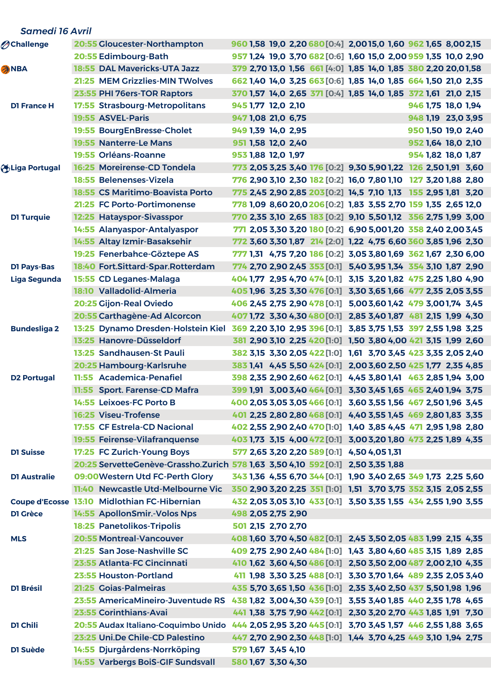|  | <b>Samedi 16 Avril</b>          |       |                                                                                                    |                    |  |                                                                |  |                    |  |
|--|---------------------------------|-------|----------------------------------------------------------------------------------------------------|--------------------|--|----------------------------------------------------------------|--|--------------------|--|
|  | <b><i><u>Achallenge</u></i></b> |       | 20:55 Gloucester-Northampton                                                                       |                    |  | 960 1,58 19,0 2,20 680 [0:4] 2,00 15,0 1,60 962 1,65 8,002,15  |  |                    |  |
|  |                                 |       | 20:55 Edimbourg-Bath                                                                               |                    |  | 957 1,24 19,0 3,70 682 [0:6] 1,60 15,0 2,00 959 1,35 10,0 2,90 |  |                    |  |
|  | <b>ANBA</b>                     |       | 18:55 DAL Mavericks-UTA Jazz                                                                       |                    |  | 379 2,70 13,0 1,56 661 [4:0] 1,85 14,0 1,85 380 2,20 20,01,58  |  |                    |  |
|  |                                 |       | 21:25 MEM Grizzlies-MIN TWolves                                                                    |                    |  | 662 1,40 14,0 3,25 663 [0:6] 1,85 14,0 1,85 664 1,50 21,0 2,35 |  |                    |  |
|  |                                 |       | 23:55 PHI 76ers-TOR Raptors                                                                        |                    |  | 370 1,57 14,0 2,65 371 [0:4] 1,85 14,0 1,85 372 1,61 21,0 2,15 |  |                    |  |
|  | <b>D1 France H</b>              |       | 17:55 Strasbourg-Metropolitans                                                                     | 945 1,77 12,0 2,10 |  |                                                                |  | 946 1,75 18,0 1,94 |  |
|  |                                 |       | 19:55 ASVEL-Paris                                                                                  | 947 1,08 21,0 6,75 |  |                                                                |  | 948 1,19 23,0 3,95 |  |
|  |                                 |       | 19:55 BourgEnBresse-Cholet                                                                         | 949 1.39 14.0 2.95 |  |                                                                |  | 950 1,50 19,0 2,40 |  |
|  |                                 |       | 19:55 Nanterre-Le Mans                                                                             | 951 1,58 12,0 2,40 |  |                                                                |  | 952 1,64 18,0 2,10 |  |
|  |                                 |       | 19:55 Orléans-Roanne                                                                               | 953 1,88 12,0 1,97 |  |                                                                |  | 954 1,82 18,0 1,87 |  |
|  | Liga Portugal                   |       | 16:25 Moreirense-CD Tondela                                                                        |                    |  | 773 2,05 3,25 3,40 176 [0:2] 9,30 5,90 1,22 126 2,50 1,91 3,60 |  |                    |  |
|  |                                 |       | 18:55 Belenenses-Vizela                                                                            |                    |  | 776 2,90 3,10 2,30 182 [0:2] 16,0 7,80 1,10 127 3,20 1,88 2,80 |  |                    |  |
|  |                                 |       | <b>18:55 CS Maritimo-Boavista Porto</b>                                                            |                    |  | 775 2,45 2,90 2,85 203 [0:2] 14,5 7,10 1,13 155 2,95 1,81 3,20 |  |                    |  |
|  |                                 |       | 21:25 FC Porto-Portimonense                                                                        |                    |  | 778 1,09 8,60 20,0 206 [0:2] 1,83 3,55 2,70 159 1,35 2,65 12,0 |  |                    |  |
|  | <b>D1 Turquie</b>               |       | 12:25 Hatayspor-Sivasspor                                                                          |                    |  | 770 2,35 3,10 2,65 183 [0:2] 9,10 5,50 1,12 356 2,75 1,99 3,00 |  |                    |  |
|  |                                 |       | 14:55 Alanyaspor-Antalyaspor                                                                       |                    |  | 771 2,05 3,30 3,20 180 [0:2] 6,90 5,001,20 358 2,40 2,00 3,45  |  |                    |  |
|  |                                 |       | 14:55 Altay Izmir-Basaksehir                                                                       |                    |  | 772 3,60 3,30 1,87 214 [2:0] 1,22 4,75 6,60 360 3,85 1,96 2,30 |  |                    |  |
|  |                                 |       | 19:25 Fenerbahce-Göztepe AS                                                                        |                    |  | 777 1,31 4,75 7,20 186 [0:2] 3,05 3,80 1,69 362 1,67 2,30 6,00 |  |                    |  |
|  | <b>D1 Pays-Bas</b>              |       | 18:40 Fort.Sittard-Spar.Rotterdam                                                                  |                    |  | 774 2,70 2,90 2,45 353 [0:1] 5,40 3,95 1,34 354 3,10 1,87 2,90 |  |                    |  |
|  | Liga Segunda                    |       | 15:55 CD Leganes-Malaga                                                                            |                    |  | 404 1,77 2,95 4,70 474 [0:1] 3,15 3,20 1,82 475 2,25 1,80 4,90 |  |                    |  |
|  |                                 |       | 18:10 Valladolid-Almeria                                                                           |                    |  | 405 1,96 3,25 3,30 476 [0:1] 3,30 3,65 1,66 477 2,35 2,05 3,55 |  |                    |  |
|  |                                 |       | 20:25 Gijon-Real Oviedo                                                                            |                    |  | 406 2,45 2,75 2,90 478 [0:1] 5,00 3,60 1,42 479 3,00 1,74 3,45 |  |                    |  |
|  |                                 |       | 20:55 Carthagène-Ad Alcorcon                                                                       |                    |  | 407 1,72 3,30 4,30 480 [0:1] 2,85 3,40 1,87 481 2,15 1,99 4,30 |  |                    |  |
|  | <b>Bundesliga 2</b>             | 13:25 | Dynamo Dresden-Holstein Kiel 369 2,20 3,10 2,95 396 [0:1] 3,85 3,75 1,53 397 2,55 1,98 3,25        |                    |  |                                                                |  |                    |  |
|  |                                 |       | 13:25 Hanovre-Düsseldorf                                                                           |                    |  | 381 2,90 3,10 2,25 420 [1:0] 1,50 3,80 4,00 421 3,15 1,99 2,60 |  |                    |  |
|  |                                 |       | 13:25 Sandhausen-St Pauli                                                                          |                    |  | 382 3,15 3,30 2,05 422 [1:0] 1,61 3,70 3,45 423 3,35 2,05 2,40 |  |                    |  |
|  |                                 |       | 20:25 Hambourg-Karlsruhe                                                                           |                    |  | 383 1,41 4,45 5,50 424 [0:1] 2,00 3,60 2,50 425 1,77 2,35 4,85 |  |                    |  |
|  | <b>D2 Portugal</b>              |       | 11:55 Academica-Penafiel                                                                           |                    |  | 398 2,35 2,90 2,60 462 [0:1] 4,45 3,80 1,41 463 2,85 1,94 3,00 |  |                    |  |
|  |                                 |       | 11:55 Sport. Farense-CD Mafra                                                                      |                    |  | 399 1,91 3,00 3,40 464 [0:1] 3,30 3,45 1,65 465 2,40 1,94 3,75 |  |                    |  |
|  |                                 |       | 14:55 Leixoes-FC Porto B                                                                           |                    |  | 400 2,05 3,05 3,05 466 [0:1] 3,60 3,55 1,56 467 2,50 1,96 3,45 |  |                    |  |
|  |                                 |       | <b>16:25 Viseu-Trofense</b>                                                                        |                    |  | 401 2,25 2,80 2,80 468 [0:1] 4,40 3,55 1,45 469 2,80 1,83 3,35 |  |                    |  |
|  |                                 |       | 17:55 CF Estrela-CD Nacional                                                                       |                    |  | 402 2,55 2,90 2,40 470 [1:0] 1,40 3,85 4,45 471 2,95 1,98 2,80 |  |                    |  |
|  |                                 |       | 19:55 Feirense-Vilafranquense                                                                      |                    |  | 403 1,73 3,15 4,00 472 [0:1] 3,00 3,20 1,80 473 2,25 1,89 4,35 |  |                    |  |
|  | <b>D1 Suisse</b>                |       | 17:25 FC Zurich-Young Boys                                                                         |                    |  | 577 2,65 3,20 2,20 589 [0:1] 4,50 4,05 1,31                    |  |                    |  |
|  |                                 |       | 20:25 ServetteGenève-Grassho.Zurich 578 1,63 3,50 4,10 592 [0:1] 2,50 3,35 1,88                    |                    |  |                                                                |  |                    |  |
|  | <b>D1 Australie</b>             |       | 09:00 Western Utd FC-Perth Glory                                                                   |                    |  | 343 1,36 4,55 6,70 344 [0:1] 1,90 3,40 2,65 349 1,73 2,25 5,60 |  |                    |  |
|  |                                 |       | 11:40 Newcastle Utd-Melbourne Vic<br>Coupe d'Ecosse 13:10 Midlothian FC-Hibernian                  |                    |  | 350 2,90 3,20 2,25 351 [1:0] 1,51 3,70 3,75 352 3,15 2,05 2,55 |  |                    |  |
|  |                                 |       |                                                                                                    | 498 2,05 2,75 2,90 |  | 432 2,05 3,05 3,10 433 [0:1] 3,50 3,35 1,55 434 2,55 1,90 3,55 |  |                    |  |
|  | D1 Grèce                        |       | 14:55 ApollonSmir.-Volos Nps<br><b>18:25 Panetolikos-Tripolis</b>                                  | 501 2,15 2,70 2,70 |  |                                                                |  |                    |  |
|  | <b>MLS</b>                      |       | <b>20:55 Montreal-Vancouver</b>                                                                    |                    |  | 408 1,60 3,70 4,50 482 [0:1] 2,45 3,50 2,05 483 1,99 2,15 4,35 |  |                    |  |
|  |                                 |       | 21:25 San Jose-Nashville SC                                                                        |                    |  | 409 2,75 2,90 2,40 484 [1:0] 1,43 3,80 4,60 485 3,15 1,89 2,85 |  |                    |  |
|  |                                 |       | 23:55 Atlanta-FC Cincinnati                                                                        |                    |  | 410 1,62 3,60 4,50 486 [0:1] 2,50 3,50 2,00 487 2,00 2,10 4,35 |  |                    |  |
|  |                                 |       | 23:55 Houston-Portland                                                                             |                    |  | 411 1,98 3,30 3,25 488 [0:1] 3,30 3,70 1,64 489 2,35 2,05 3,40 |  |                    |  |
|  | D1 Brésil                       |       | 21:25 Goias-Palmeiras                                                                              |                    |  | 435 5,70 3,65 1,50 436 [1:0] 2,35 3,40 2,50 437 5,50 1,98 1,96 |  |                    |  |
|  |                                 |       | 23:55 AmericaMineiro-Juventude RS 438 1,82 3,00 4,30 439 [0:1] 3,55 3,40 1,85 440 2,35 1,78 4,65   |                    |  |                                                                |  |                    |  |
|  |                                 |       | 23:55 Corinthians-Avai                                                                             |                    |  | 441 1,38 3,75 7,90 442 [0:1] 2,30 3,20 2,70 443 1,85 1,91 7,30 |  |                    |  |
|  | DI Chili                        |       | 20:55 Audax Italiano-Coquimbo Unido 444 2,05 2,95 3,20 445 [0:1] 3,70 3,45 1,57 446 2,55 1,88 3,65 |                    |  |                                                                |  |                    |  |
|  |                                 |       | 23:25 Uni.De Chile-CD Palestino                                                                    |                    |  | 447 2,70 2,90 2,30 448 [1:0] 1,44 3,70 4,25 449 3,10 1,94 2,75 |  |                    |  |
|  | D1 Suède                        |       | 14:55 Djurgårdens-Norrköping                                                                       | 579 1,67 3,45 4,10 |  |                                                                |  |                    |  |
|  |                                 |       | 14:55 Varbergs BoiS-GIF Sundsvall                                                                  | 580 1,67 3,30 4,30 |  |                                                                |  |                    |  |
|  |                                 |       |                                                                                                    |                    |  |                                                                |  |                    |  |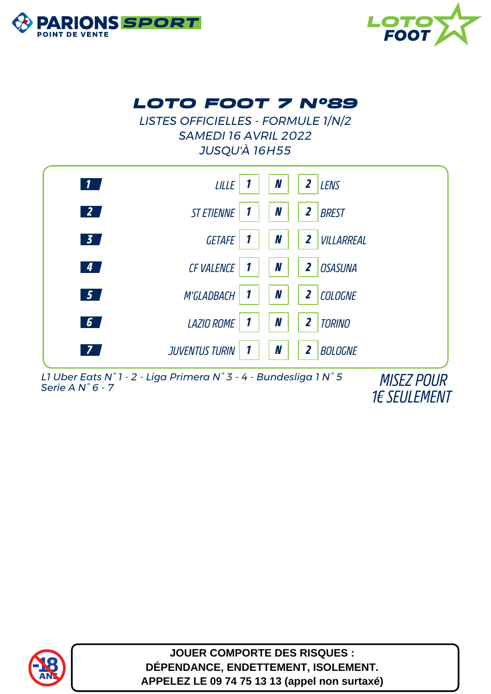



## *LOTO FOOT 7 N°89*

*LISTES OFFICIELLES - FORMULE 1/N/2 SAMEDI 16 AVRIL 2022 JUSQU'À 16H55*



*L1 Uber Eats N° 1 - 2 - Liga Primera N° 3 - 4 - Bundesliga 1 N° 5 Serie A N° 6 - 7 MISEZ POUR*

*1€ SEULEMENT*



**JOUER COMPORTE DES RISQUES : DÉPENDANCE, ENDETTEMENT, ISOLEMENT. APPELEZ LE 09 74 75 13 13 (appel non surtaxé)**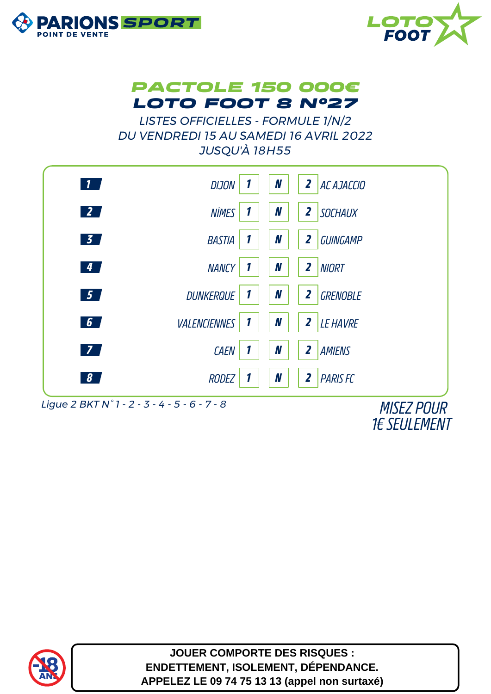





*LISTES OFFICIELLES - FORMULE 1/N/2 DU VENDREDI 15 AU SAMEDI 16 AVRIL 2022 JUSQU'À 18H55*



*Ligue 2 BKT N° 1 - 2 - 3 - 4 - 5 - 6 - 7 - 8 MISEZ POUR*

*1€ SEULEMENT*



**JOUER COMPORTE DES RISQUES : ENDETTEMENT, ISOLEMENT, DÉPENDANCE. APPELEZ LE 09 74 75 13 13 (appel non surtaxé)**